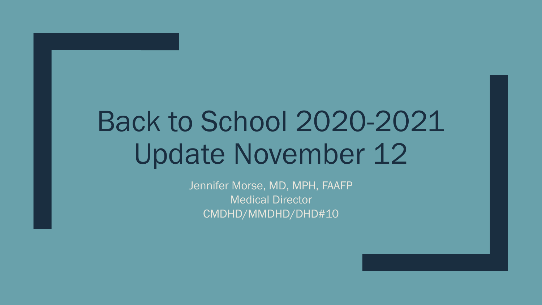# Back to School 2020-2021 Update November 12

Jennifer Morse, MD, MPH, FAAFP Medical Director CMDHD/MMDHD/DHD#10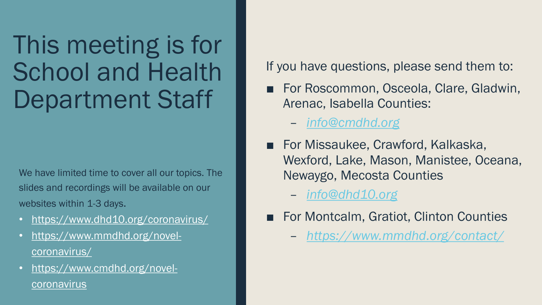## This meeting is for School and Health Department Staff

We have limited time to cover all our topics. The slides and recordings will be available on our websites within 1-3 days.

- <https://www.dhd10.org/coronavirus/>
- [https://www.mmdhd.org/novel](https://www.mmdhd.org/novel-coronavirus/)coronavirus/
- [https://www.cmdhd.org/novel](https://www.cmdhd.org/novel-coronavirus)coronavirus

If you have questions, please send them to:

- For Roscommon, Osceola, Clare, Gladwin, Arenac, Isabella Counties:
	- *[info@cmdhd.org](mailto:info@cmdhd.org)*
- For Missaukee, Crawford, Kalkaska, Wexford, Lake, Mason, Manistee, Oceana, Newaygo, Mecosta Counties

– *[info@dhd10.org](mailto:info@dhd10.org)*

- For Montcalm, Gratiot, Clinton Counties
	- *<https://www.mmdhd.org/contact/>*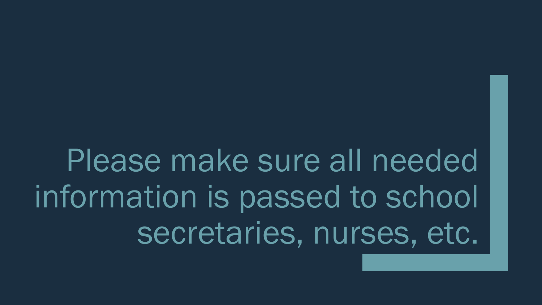Please make sure all needed information is passed to school secretaries, nurses, etc.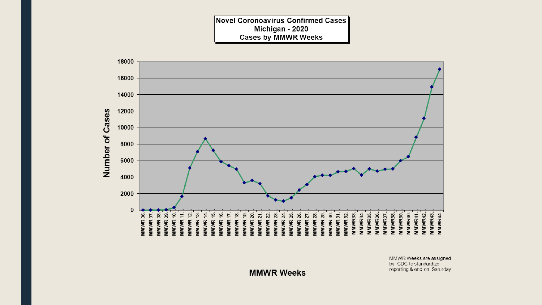**Novel Coronoavirus Confirmed Cases** Michigan - 2020 **Cases by MMWR Weeks** 



MMWR Weeks are assigned by CDC to standardize reporting & end on Saturday

**MMWR Weeks**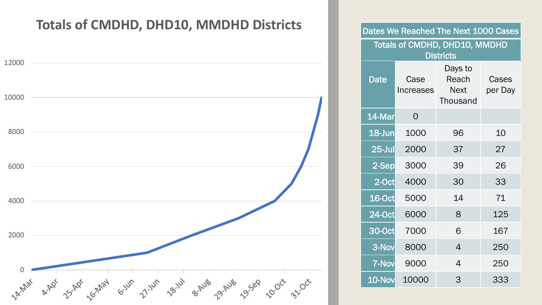#### **Totals of CMDHD, DHD10, MMDHD Districts**



| Dates We Reached The Next 1000 Cases                     |                          |                                                    |                  |  |  |
|----------------------------------------------------------|--------------------------|----------------------------------------------------|------------------|--|--|
| <b>Totals of CMDHD, DHD10, MMDHD</b><br><b>Districts</b> |                          |                                                    |                  |  |  |
| <b>Date</b>                                              | Case<br><b>Increases</b> | Days to<br>Reach<br><b>Next</b><br><b>Thousand</b> | Cases<br>per Day |  |  |
| 14-Mar                                                   | $\overline{O}$           |                                                    |                  |  |  |
| $18$ -Jun                                                | 1000                     | 96                                                 | 10               |  |  |
| $25$ -Jul                                                | 2000                     | 37                                                 | 27               |  |  |
| 2-Sep                                                    | 3000                     | 39                                                 | 26               |  |  |
| 2-Oct                                                    | 4000                     | 30                                                 | 33               |  |  |
| 16-Oct                                                   | 5000                     | 14                                                 | 71               |  |  |
| 24-Oct                                                   | 6000                     | 8                                                  | 125              |  |  |
| 30-Oct                                                   | 7000                     | 6                                                  | 167              |  |  |
| 3-Nov                                                    | 8000                     | $\overline{4}$                                     | 250              |  |  |
| <b>7-Nov</b>                                             | 9000                     | $\overline{4}$                                     | 250              |  |  |
| 10-Nov                                                   | 10000                    | 3                                                  | 333              |  |  |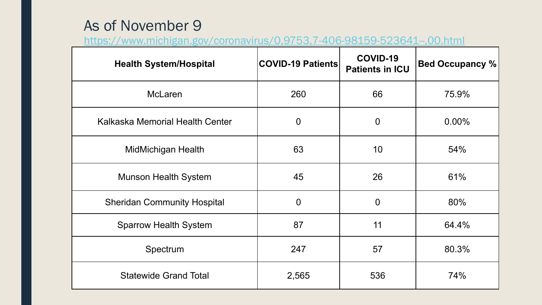#### As of November 9

<https://www.michigan.gov/coronavirus/0,9753,7-406-98159-523641--,00.html>

| <b>Health System/Hospital</b>      | <b>COVID-19 Patients</b> | COVID-19<br><b>Patients in ICU</b> | <b>Bed Occupancy %</b> |
|------------------------------------|--------------------------|------------------------------------|------------------------|
| <b>McLaren</b>                     | 260                      | 66                                 | 75.9%                  |
| Kalkaska Memorial Health Center    | $\overline{0}$           | $\overline{0}$                     | $0.00\%$               |
| MidMichigan Health                 | 63                       | 10                                 | 54%                    |
| <b>Munson Health System</b>        | 45                       | 26                                 | 61%                    |
| <b>Sheridan Community Hospital</b> | $\overline{0}$           | $\overline{0}$                     | 80%                    |
| <b>Sparrow Health System</b>       | 87                       | 11                                 | 64.4%                  |
| Spectrum                           | 247                      | 57                                 | 80.3%                  |
| <b>Statewide Grand Total</b>       | 2,565                    | 536                                | 74%                    |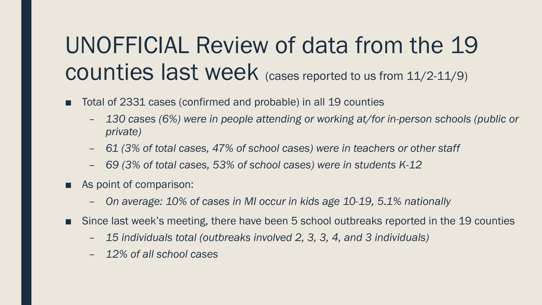### UNOFFICIAL Review of data from the 19 counties last week (cases reported to us from 11/2-11/9)

- Total of 2331 cases (confirmed and probable) in all 19 counties
	- *130 cases (6%) were in people attending or working at/for in-person schools (public or private)*
	- *61 (3% of total cases, 47% of school cases) were in teachers or other staff*
	- *69 (3% of total cases, 53% of school cases) were in students K-12*
- As point of comparison:
	- *On average: 10% of cases in MI occur in kids age 10-19, 5.1% nationally*
- Since last week's meeting, there have been 5 school outbreaks reported in the 19 counties
	- *15 individuals total (outbreaks involved 2, 3, 3, 4, and 3 individuals)*
	- *12% of all school cases*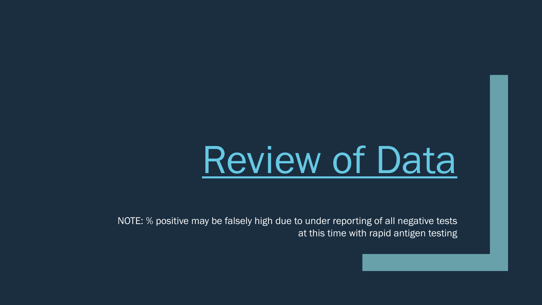# [Review of Data](https://cmdhd.sharepoint.com/:x:/s/PIO/ER3oMf7VPpBNhkFqHlriiW0B6SyK0R9EpJsZFI6DbTQ0Fg?e=4%3AfZ9g0b&at=9&CID=74B2593C-6345-44C3-8E2D-2F24CAE34CC3&wdLOR=c297595DC-37BA-4F8B-99EF-E3A5126C210E)

NOTE: % positive may be falsely high due to under reporting of all negative tests at this time with rapid antigen testing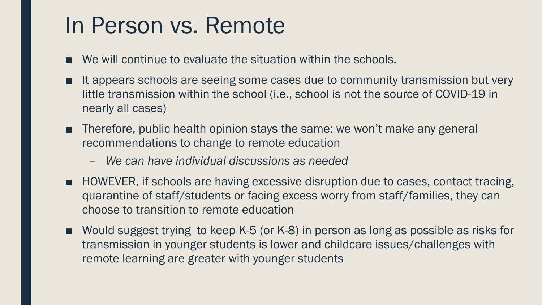#### In Person vs. Remote

- We will continue to evaluate the situation within the schools.
- It appears schools are seeing some cases due to community transmission but very little transmission within the school (i.e., school is not the source of COVID-19 in nearly all cases)
- Therefore, public health opinion stays the same: we won't make any general recommendations to change to remote education
	- *We can have individual discussions as needed*
- HOWEVER, if schools are having excessive disruption due to cases, contact tracing, quarantine of staff/students or facing excess worry from staff/families, they can choose to transition to remote education
- Would suggest trying to keep K-5 (or K-8) in person as long as possible as risks for transmission in younger students is lower and childcare issues/challenges with remote learning are greater with younger students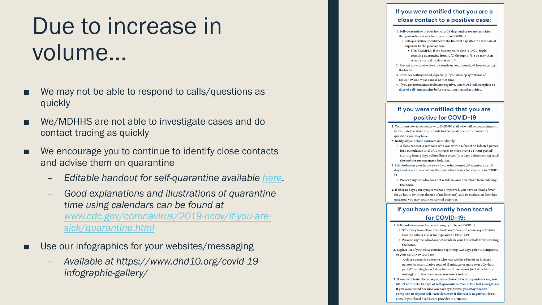### Due to increase in volume…

- We may not be able to respond to calls/questions as quickly
- We/MDHHS are not able to investigate cases and do contact tracing as quickly
- We encourage you to continue to identify close contacts and advise them on quarantine
	- *Editable handout for self-quarantine available [here.](https://vital.box.com/s/z29fum8lgd35jpbr4s5rrfu1zw1cq4gr)*
	- *Good explanations and illustrations of quarantine time using calendars can be found at [www.cdc.gov/coronavirus/2019-ncov/if-you-are](http://www.cdc.gov/coronavirus/2019-ncov/if-you-are-sick/quarantine.html)sick/quarantine.html*
- Use our infographics for your websites/messaging
	- *Available at https://www.dhd10.org/covid-19 infographic-gallery/*

#### If you were notified that you are a close contact to a positive case: 1. Self-quarantine in your home for 14 days and cease any activities that puts others at risk for exposure to COVID-19. <sup>o</sup> Self-quarantine should begin the first full day after the last date of exposure to the positive case.  $\bullet\;$  FOR EXAMPLE: If the last exposure date is 10/20, begin counting quarantine from 10/21 through 11/3. You may then resume normal activities on 11/4. 2. Prevent anyone who does not reside in your household from entering the home 3. Consider getting tested, especially if you develop symptoms of COVID-19, and wear a mask at that time. 4. If you get tested and results are negative, you MUST still complete 14 days of self- quarantine before resuming normal activities. If you were notified that you are positive for COVID-19 1. Communicate & cooperate with DHD#10 staff who will be contacting you to evaluate the situation, provide further guidance, and answer any questions you may have. 2. Notify all your close contacts immediately. <sup>o</sup> A close contact is someone who was within 6 feet of an infected person for a cumulative total of 15 minutes or more over a 24-hour period\* starting from 2 days before illness onset (or 2 days before testing) until the positive person enters isolation. 3. Self-isolate in your home away from other household members for 10 days and cease any activities that put others at risk for exposure to COVID-19. o Prevent anyone who does not reside in your household from entering

- the home. 4. If after 10 days your symptoms have improved, you have not had a fever for 24 hours (without the use of medications), and re-evaluation from has
- occurred, you may return to normal activities.

#### If you have recently been tested for COVID-19:

- 1. Self-isolate in your home as though you have COVID-19.
- <sup>o</sup> Stay away from other household members and cease any activities that put others at risk for exposure to COVID-19.
- <sup>o</sup> Prevent anyone who does not reside in your household from entering the home.
- 2. Begin a list of your close contacts beginning two days prior to symptoms or your COVID-19 test date.
	- <sup>o</sup> A close contact is someone who was within 6 feet of an infected person for a cumulative total of 15 minutes or more over a 24-hour period\* starting from 2 days before illness onset (or 2 days before testing) until the positive person enters isolation.
- 3. If you were tested because you are a close contact to a positive case, you MUST complete 14 days of self-quarantine even if the test is negative. If you were tested because you have symptoms, you may need to complete 10 days of self-isolation even if the test is negative. Please consult your local health care provider or DHD#10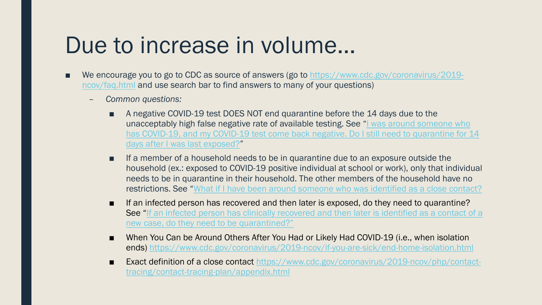#### Due to increase in volume…

- [We encourage you to go to CDC as source of answers \(go to https://www.cdc.gov/coronavirus/2019](https://www.cdc.gov/coronavirus/2019-ncov/faq.html) ncov/faq.html and use search bar to find answers to many of your questions)
	- *Common questions:*
		- A negative COVID-19 test DOES NOT end quarantine before the 14 days due to the unacceptably high false negative rate of available testing. See "I was around someone who [has COVID-19, and my COVID-19 test come back negative. Do I still need to quarantine for 14](https://www.cdc.gov/coronavirus/2019-ncov/faq.html#Testing)  days after I was last exposed?"
		- If a member of a household needs to be in quarantine due to an exposure outside the household (ex.: exposed to COVID-19 positive individual at school or work), only that individual needs to be in quarantine in their household. The other members of the household have no restrictions. See "[What if I have been around someone who was identified as a close contact?](https://www.cdc.gov/coronavirus/2019-ncov/faq.html#Contact-Tracing)
		- If an infected person has recovered and then later is exposed, do they need to quarantine? [See "If an infected person has clinically recovered and then later is identified as a contact of a](https://www.cdc.gov/coronavirus/2019-ncov/hcp/faq.html#Patients-with-Persistent-or-Recurrent-Positive-Tests) new case, do they need to be quarantined?"
		- When You Can be Around Others After You Had or Likely Had COVID-19 (i.e., when isolation ends)<https://www.cdc.gov/coronavirus/2019-ncov/if-you-are-sick/end-home-isolation.html>
		- [Exact definition of a close contact https://www.cdc.gov/coronavirus/2019-ncov/php/contact](https://www.cdc.gov/coronavirus/2019-ncov/php/contact-tracing/contact-tracing-plan/appendix.html)tracing/contact-tracing-plan/appendix.html